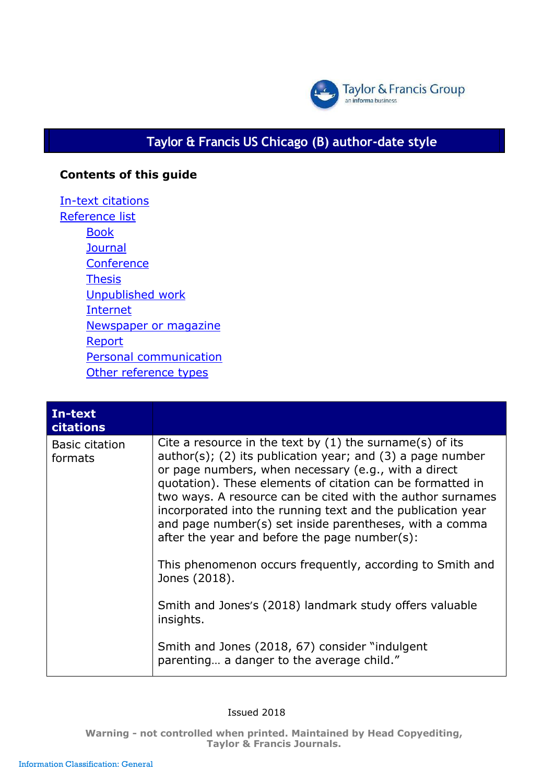

## **Taylor & Francis US Chicago (B) author-date style**

## **Contents of this guide**

In-text [citations](#page-0-0) [Reference](#page-4-0) list **[Book](#page-8-0) [Journal](#page-11-0) [Conference](#page-12-0)** [Thesis](#page-13-0) [Unpublished](#page-14-0) work [Internet](#page-14-0) [Newspaper or](#page-15-0) magazine [Report](#page-15-1) Personal [communicatio](#page-16-0)n [Other reference types](#page-16-1)

<span id="page-0-0"></span>

| In-text<br>citations             |                                                                                                                                                                                                                                                                                                                                                                                                                                                                                              |
|----------------------------------|----------------------------------------------------------------------------------------------------------------------------------------------------------------------------------------------------------------------------------------------------------------------------------------------------------------------------------------------------------------------------------------------------------------------------------------------------------------------------------------------|
| <b>Basic citation</b><br>formats | Cite a resource in the text by $(1)$ the surname $(s)$ of its<br>author(s); (2) its publication year; and $(3)$ a page number<br>or page numbers, when necessary (e.g., with a direct<br>quotation). These elements of citation can be formatted in<br>two ways. A resource can be cited with the author surnames<br>incorporated into the running text and the publication year<br>and page number(s) set inside parentheses, with a comma<br>after the year and before the page number(s): |
|                                  | This phenomenon occurs frequently, according to Smith and<br>Jones (2018).                                                                                                                                                                                                                                                                                                                                                                                                                   |
|                                  | Smith and Jones's (2018) landmark study offers valuable<br>insights.                                                                                                                                                                                                                                                                                                                                                                                                                         |
|                                  | Smith and Jones (2018, 67) consider "indulgent<br>parenting a danger to the average child."                                                                                                                                                                                                                                                                                                                                                                                                  |

Issued 2018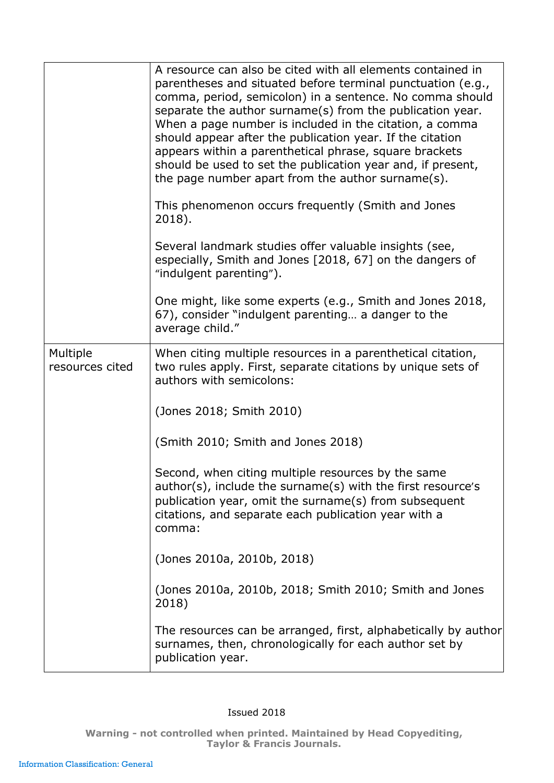|                             | A resource can also be cited with all elements contained in<br>parentheses and situated before terminal punctuation (e.g.,<br>comma, period, semicolon) in a sentence. No comma should<br>separate the author surname(s) from the publication year.<br>When a page number is included in the citation, a comma<br>should appear after the publication year. If the citation<br>appears within a parenthetical phrase, square brackets<br>should be used to set the publication year and, if present,<br>the page number apart from the author surname(s).<br>This phenomenon occurs frequently (Smith and Jones<br>2018).<br>Several landmark studies offer valuable insights (see,<br>especially, Smith and Jones [2018, 67] on the dangers of<br>"indulgent parenting"). |
|-----------------------------|----------------------------------------------------------------------------------------------------------------------------------------------------------------------------------------------------------------------------------------------------------------------------------------------------------------------------------------------------------------------------------------------------------------------------------------------------------------------------------------------------------------------------------------------------------------------------------------------------------------------------------------------------------------------------------------------------------------------------------------------------------------------------|
|                             | One might, like some experts (e.g., Smith and Jones 2018,<br>67), consider "indulgent parenting a danger to the<br>average child."                                                                                                                                                                                                                                                                                                                                                                                                                                                                                                                                                                                                                                         |
| Multiple<br>resources cited | When citing multiple resources in a parenthetical citation,<br>two rules apply. First, separate citations by unique sets of<br>authors with semicolons:                                                                                                                                                                                                                                                                                                                                                                                                                                                                                                                                                                                                                    |
|                             | (Jones 2018; Smith 2010)                                                                                                                                                                                                                                                                                                                                                                                                                                                                                                                                                                                                                                                                                                                                                   |
|                             | (Smith 2010; Smith and Jones 2018)                                                                                                                                                                                                                                                                                                                                                                                                                                                                                                                                                                                                                                                                                                                                         |
|                             | Second, when citing multiple resources by the same<br>author(s), include the surname(s) with the first resource's<br>publication year, omit the surname(s) from subsequent<br>citations, and separate each publication year with a<br>comma:                                                                                                                                                                                                                                                                                                                                                                                                                                                                                                                               |
|                             | (Jones 2010a, 2010b, 2018)                                                                                                                                                                                                                                                                                                                                                                                                                                                                                                                                                                                                                                                                                                                                                 |
|                             | (Jones 2010a, 2010b, 2018; Smith 2010; Smith and Jones<br>2018)                                                                                                                                                                                                                                                                                                                                                                                                                                                                                                                                                                                                                                                                                                            |
|                             | The resources can be arranged, first, alphabetically by author<br>surnames, then, chronologically for each author set by<br>publication year.                                                                                                                                                                                                                                                                                                                                                                                                                                                                                                                                                                                                                              |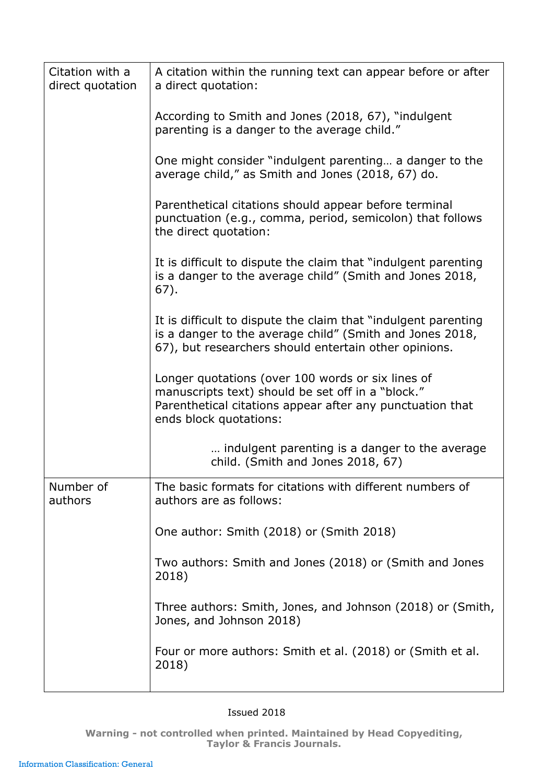| Citation with a<br>direct quotation | A citation within the running text can appear before or after<br>a direct quotation:                                                                                                          |
|-------------------------------------|-----------------------------------------------------------------------------------------------------------------------------------------------------------------------------------------------|
|                                     | According to Smith and Jones (2018, 67), "indulgent<br>parenting is a danger to the average child."                                                                                           |
|                                     | One might consider "indulgent parenting a danger to the<br>average child," as Smith and Jones (2018, 67) do.                                                                                  |
|                                     | Parenthetical citations should appear before terminal<br>punctuation (e.g., comma, period, semicolon) that follows<br>the direct quotation:                                                   |
|                                     | It is difficult to dispute the claim that "indulgent parenting"<br>is a danger to the average child" (Smith and Jones 2018,<br>$67$ ).                                                        |
|                                     | It is difficult to dispute the claim that "indulgent parenting<br>is a danger to the average child" (Smith and Jones 2018,<br>67), but researchers should entertain other opinions.           |
|                                     | Longer quotations (over 100 words or six lines of<br>manuscripts text) should be set off in a "block."<br>Parenthetical citations appear after any punctuation that<br>ends block quotations: |
|                                     | indulgent parenting is a danger to the average<br>child. (Smith and Jones 2018, 67)                                                                                                           |
| Number of<br>authors                | The basic formats for citations with different numbers of<br>authors are as follows:                                                                                                          |
|                                     | One author: Smith (2018) or (Smith 2018)                                                                                                                                                      |
|                                     | Two authors: Smith and Jones (2018) or (Smith and Jones<br>2018)                                                                                                                              |
|                                     | Three authors: Smith, Jones, and Johnson (2018) or (Smith,<br>Jones, and Johnson 2018)                                                                                                        |
|                                     | Four or more authors: Smith et al. (2018) or (Smith et al.<br>2018)                                                                                                                           |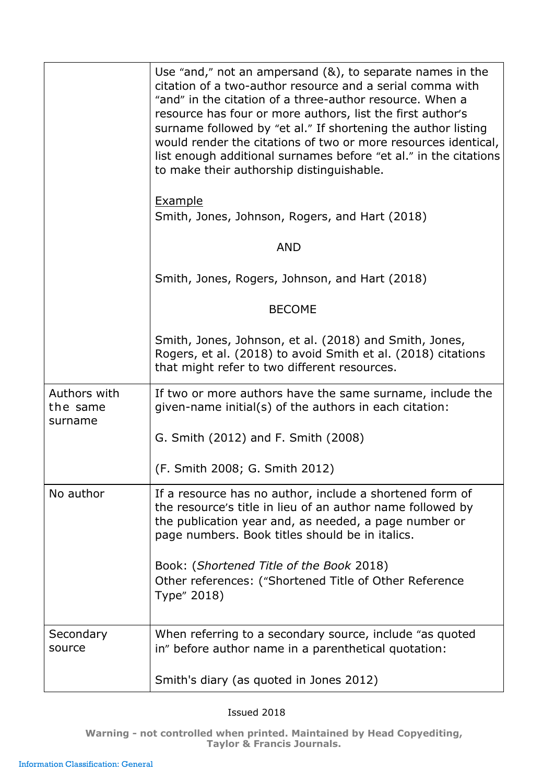|                                     | Use "and," not an ampersand $(8)$ , to separate names in the<br>citation of a two-author resource and a serial comma with<br>"and" in the citation of a three-author resource. When a<br>resource has four or more authors, list the first author's<br>surname followed by "et al." If shortening the author listing<br>would render the citations of two or more resources identical,<br>list enough additional surnames before "et al." in the citations<br>to make their authorship distinguishable. |
|-------------------------------------|---------------------------------------------------------------------------------------------------------------------------------------------------------------------------------------------------------------------------------------------------------------------------------------------------------------------------------------------------------------------------------------------------------------------------------------------------------------------------------------------------------|
|                                     | <b>Example</b><br>Smith, Jones, Johnson, Rogers, and Hart (2018)                                                                                                                                                                                                                                                                                                                                                                                                                                        |
|                                     | <b>AND</b>                                                                                                                                                                                                                                                                                                                                                                                                                                                                                              |
|                                     | Smith, Jones, Rogers, Johnson, and Hart (2018)                                                                                                                                                                                                                                                                                                                                                                                                                                                          |
|                                     | <b>BECOME</b>                                                                                                                                                                                                                                                                                                                                                                                                                                                                                           |
|                                     | Smith, Jones, Johnson, et al. (2018) and Smith, Jones,<br>Rogers, et al. (2018) to avoid Smith et al. (2018) citations<br>that might refer to two different resources.                                                                                                                                                                                                                                                                                                                                  |
| Authors with<br>the same<br>surname | If two or more authors have the same surname, include the<br>given-name initial(s) of the authors in each citation:                                                                                                                                                                                                                                                                                                                                                                                     |
|                                     | G. Smith (2012) and F. Smith (2008)                                                                                                                                                                                                                                                                                                                                                                                                                                                                     |
|                                     | (F. Smith 2008; G. Smith 2012)                                                                                                                                                                                                                                                                                                                                                                                                                                                                          |
| No author                           | If a resource has no author, include a shortened form of<br>the resource's title in lieu of an author name followed by<br>the publication year and, as needed, a page number or<br>page numbers. Book titles should be in italics.                                                                                                                                                                                                                                                                      |
|                                     | Book: (Shortened Title of the Book 2018)<br>Other references: ("Shortened Title of Other Reference<br>Type" 2018)                                                                                                                                                                                                                                                                                                                                                                                       |
| Secondary<br>source                 | When referring to a secondary source, include "as quoted<br>in" before author name in a parenthetical quotation:                                                                                                                                                                                                                                                                                                                                                                                        |
|                                     | Smith's diary (as quoted in Jones 2012)                                                                                                                                                                                                                                                                                                                                                                                                                                                                 |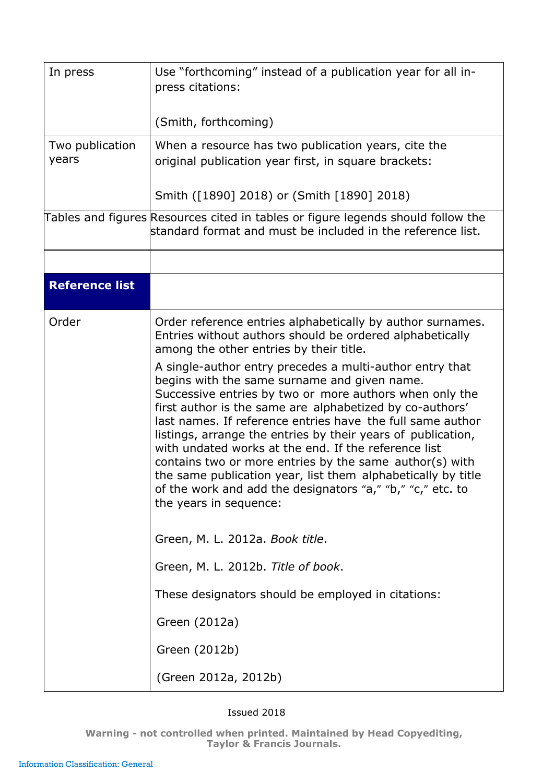<span id="page-4-0"></span>

| In press                 | Use "forthcoming" instead of a publication year for all in-<br>press citations:<br>(Smith, forthcoming)                                                                                                                                                                                                                                                                                                                                                                                                                                                                                                                                  |
|--------------------------|------------------------------------------------------------------------------------------------------------------------------------------------------------------------------------------------------------------------------------------------------------------------------------------------------------------------------------------------------------------------------------------------------------------------------------------------------------------------------------------------------------------------------------------------------------------------------------------------------------------------------------------|
| Two publication<br>years | When a resource has two publication years, cite the<br>original publication year first, in square brackets:                                                                                                                                                                                                                                                                                                                                                                                                                                                                                                                              |
|                          | Smith ([1890] 2018) or (Smith [1890] 2018)                                                                                                                                                                                                                                                                                                                                                                                                                                                                                                                                                                                               |
|                          | Tables and figures Resources cited in tables or figure legends should follow the<br>standard format and must be included in the reference list.                                                                                                                                                                                                                                                                                                                                                                                                                                                                                          |
|                          |                                                                                                                                                                                                                                                                                                                                                                                                                                                                                                                                                                                                                                          |
| <b>Reference list</b>    |                                                                                                                                                                                                                                                                                                                                                                                                                                                                                                                                                                                                                                          |
| Order                    | Order reference entries alphabetically by author surnames.<br>Entries without authors should be ordered alphabetically<br>among the other entries by their title.                                                                                                                                                                                                                                                                                                                                                                                                                                                                        |
|                          | A single-author entry precedes a multi-author entry that<br>begins with the same surname and given name.<br>Successive entries by two or more authors when only the<br>first author is the same are alphabetized by co-authors'<br>last names. If reference entries have the full same author<br>listings, arrange the entries by their years of publication,<br>with undated works at the end. If the reference list<br>contains two or more entries by the same author(s) with<br>the same publication year, list them alphabetically by title<br>of the work and add the designators "a," "b," "c," etc. to<br>the years in sequence: |
|                          | Green, M. L. 2012a. Book title.                                                                                                                                                                                                                                                                                                                                                                                                                                                                                                                                                                                                          |
|                          | Green, M. L. 2012b. Title of book.                                                                                                                                                                                                                                                                                                                                                                                                                                                                                                                                                                                                       |
|                          | These designators should be employed in citations:                                                                                                                                                                                                                                                                                                                                                                                                                                                                                                                                                                                       |
|                          | Green (2012a)                                                                                                                                                                                                                                                                                                                                                                                                                                                                                                                                                                                                                            |
|                          | Green (2012b)                                                                                                                                                                                                                                                                                                                                                                                                                                                                                                                                                                                                                            |
|                          | (Green 2012a, 2012b)                                                                                                                                                                                                                                                                                                                                                                                                                                                                                                                                                                                                                     |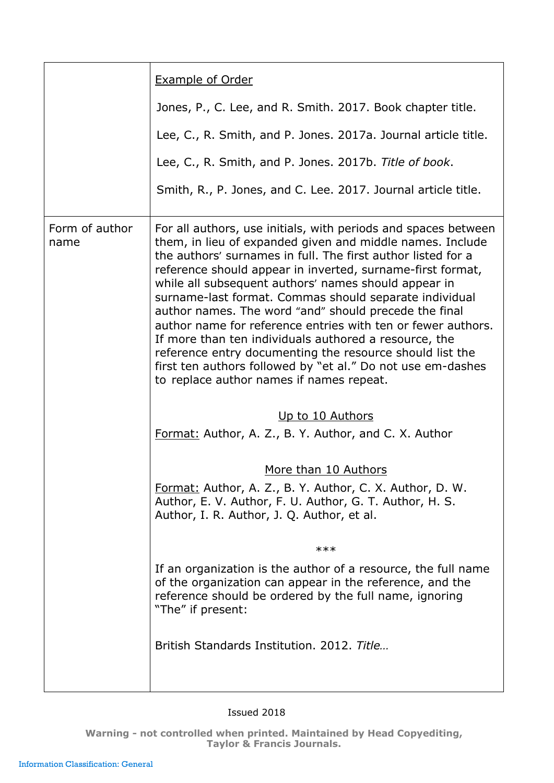|                        | <b>Example of Order</b>                                                                                                                                                                                                                                                                                                                                                                                                                                                                                                                                                                                                                                                                                                              |
|------------------------|--------------------------------------------------------------------------------------------------------------------------------------------------------------------------------------------------------------------------------------------------------------------------------------------------------------------------------------------------------------------------------------------------------------------------------------------------------------------------------------------------------------------------------------------------------------------------------------------------------------------------------------------------------------------------------------------------------------------------------------|
|                        | Jones, P., C. Lee, and R. Smith. 2017. Book chapter title.                                                                                                                                                                                                                                                                                                                                                                                                                                                                                                                                                                                                                                                                           |
|                        | Lee, C., R. Smith, and P. Jones. 2017a. Journal article title.                                                                                                                                                                                                                                                                                                                                                                                                                                                                                                                                                                                                                                                                       |
|                        | Lee, C., R. Smith, and P. Jones. 2017b. Title of book.                                                                                                                                                                                                                                                                                                                                                                                                                                                                                                                                                                                                                                                                               |
|                        | Smith, R., P. Jones, and C. Lee. 2017. Journal article title.                                                                                                                                                                                                                                                                                                                                                                                                                                                                                                                                                                                                                                                                        |
| Form of author<br>name | For all authors, use initials, with periods and spaces between<br>them, in lieu of expanded given and middle names. Include<br>the authors' surnames in full. The first author listed for a<br>reference should appear in inverted, surname-first format,<br>while all subsequent authors' names should appear in<br>surname-last format. Commas should separate individual<br>author names. The word "and" should precede the final<br>author name for reference entries with ten or fewer authors.<br>If more than ten individuals authored a resource, the<br>reference entry documenting the resource should list the<br>first ten authors followed by "et al." Do not use em-dashes<br>to replace author names if names repeat. |
|                        | Up to 10 Authors<br>Format: Author, A. Z., B. Y. Author, and C. X. Author                                                                                                                                                                                                                                                                                                                                                                                                                                                                                                                                                                                                                                                            |
|                        | More than 10 Authors<br>Format: Author, A. Z., B. Y. Author, C. X. Author, D. W.<br>Author, E. V. Author, F. U. Author, G. T. Author, H. S.<br>Author, I. R. Author, J. Q. Author, et al.                                                                                                                                                                                                                                                                                                                                                                                                                                                                                                                                            |
|                        | ***                                                                                                                                                                                                                                                                                                                                                                                                                                                                                                                                                                                                                                                                                                                                  |
|                        | If an organization is the author of a resource, the full name<br>of the organization can appear in the reference, and the<br>reference should be ordered by the full name, ignoring<br>"The" if present:                                                                                                                                                                                                                                                                                                                                                                                                                                                                                                                             |
|                        | British Standards Institution. 2012. Title                                                                                                                                                                                                                                                                                                                                                                                                                                                                                                                                                                                                                                                                                           |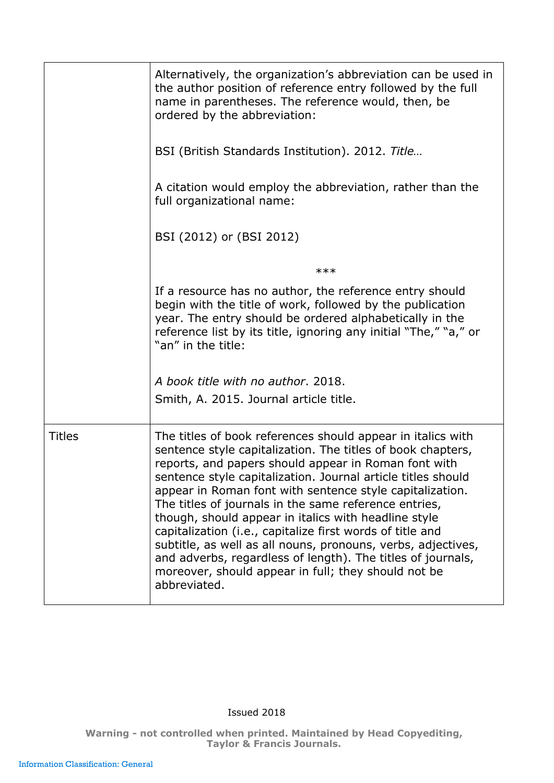|               | Alternatively, the organization's abbreviation can be used in<br>the author position of reference entry followed by the full<br>name in parentheses. The reference would, then, be<br>ordered by the abbreviation:                                                                                                                                                                                                                                                                                                                                                                                                                                                                                 |
|---------------|----------------------------------------------------------------------------------------------------------------------------------------------------------------------------------------------------------------------------------------------------------------------------------------------------------------------------------------------------------------------------------------------------------------------------------------------------------------------------------------------------------------------------------------------------------------------------------------------------------------------------------------------------------------------------------------------------|
|               | BSI (British Standards Institution). 2012. Title                                                                                                                                                                                                                                                                                                                                                                                                                                                                                                                                                                                                                                                   |
|               | A citation would employ the abbreviation, rather than the<br>full organizational name:                                                                                                                                                                                                                                                                                                                                                                                                                                                                                                                                                                                                             |
|               | BSI (2012) or (BSI 2012)                                                                                                                                                                                                                                                                                                                                                                                                                                                                                                                                                                                                                                                                           |
|               | ***                                                                                                                                                                                                                                                                                                                                                                                                                                                                                                                                                                                                                                                                                                |
|               | If a resource has no author, the reference entry should<br>begin with the title of work, followed by the publication<br>year. The entry should be ordered alphabetically in the<br>reference list by its title, ignoring any initial "The," "a," or<br>"an" in the title:                                                                                                                                                                                                                                                                                                                                                                                                                          |
|               | A book title with no author. 2018.                                                                                                                                                                                                                                                                                                                                                                                                                                                                                                                                                                                                                                                                 |
|               | Smith, A. 2015. Journal article title.                                                                                                                                                                                                                                                                                                                                                                                                                                                                                                                                                                                                                                                             |
| <b>Titles</b> | The titles of book references should appear in italics with<br>sentence style capitalization. The titles of book chapters,<br>reports, and papers should appear in Roman font with<br>sentence style capitalization. Journal article titles should<br>appear in Roman font with sentence style capitalization.<br>The titles of journals in the same reference entries,<br>though, should appear in italics with headline style<br>capitalization (i.e., capitalize first words of title and<br>subtitle, as well as all nouns, pronouns, verbs, adjectives,<br>and adverbs, regardless of length). The titles of journals,<br>moreover, should appear in full; they should not be<br>abbreviated. |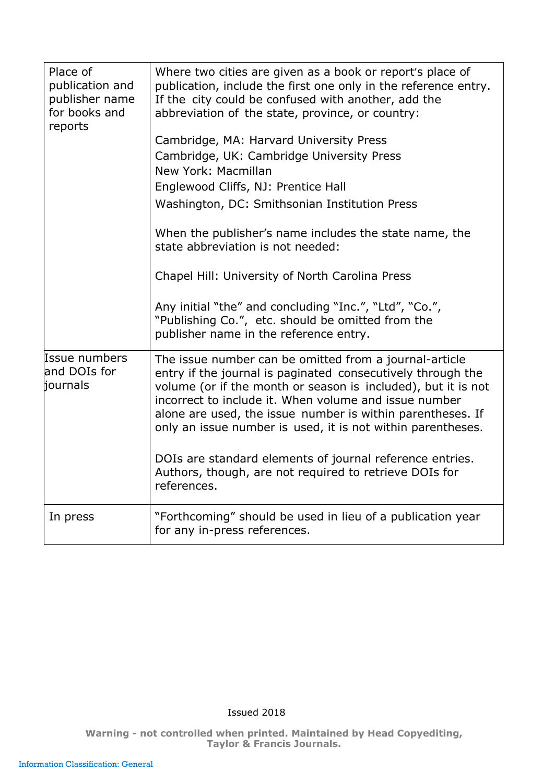| Place of<br>publication and<br>publisher name<br>for books and<br>reports | Where two cities are given as a book or report's place of<br>publication, include the first one only in the reference entry.<br>If the city could be confused with another, add the<br>abbreviation of the state, province, or country:                                                                                                                                      |
|---------------------------------------------------------------------------|------------------------------------------------------------------------------------------------------------------------------------------------------------------------------------------------------------------------------------------------------------------------------------------------------------------------------------------------------------------------------|
|                                                                           | Cambridge, MA: Harvard University Press<br>Cambridge, UK: Cambridge University Press<br>New York: Macmillan<br>Englewood Cliffs, NJ: Prentice Hall<br>Washington, DC: Smithsonian Institution Press                                                                                                                                                                          |
|                                                                           | When the publisher's name includes the state name, the<br>state abbreviation is not needed:<br>Chapel Hill: University of North Carolina Press                                                                                                                                                                                                                               |
|                                                                           | Any initial "the" and concluding "Inc.", "Ltd", "Co.",<br>"Publishing Co.", etc. should be omitted from the<br>publisher name in the reference entry.                                                                                                                                                                                                                        |
| <b>Issue numbers</b><br>and DOIs for<br>journals                          | The issue number can be omitted from a journal-article<br>entry if the journal is paginated consecutively through the<br>volume (or if the month or season is included), but it is not<br>incorrect to include it. When volume and issue number<br>alone are used, the issue number is within parentheses. If<br>only an issue number is used, it is not within parentheses. |
|                                                                           | DOIs are standard elements of journal reference entries.<br>Authors, though, are not required to retrieve DOIs for<br>references.                                                                                                                                                                                                                                            |
| In press                                                                  | "Forthcoming" should be used in lieu of a publication year<br>for any in-press references.                                                                                                                                                                                                                                                                                   |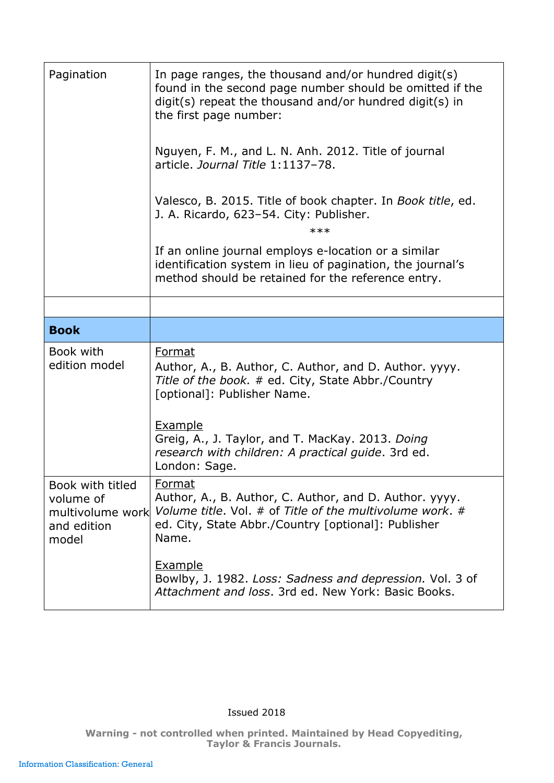<span id="page-8-0"></span>

| Pagination                                                                | In page ranges, the thousand and/or hundred digit(s)<br>found in the second page number should be omitted if the<br>$digit(s)$ repeat the thousand and/or hundred digit(s) in<br>the first page number: |
|---------------------------------------------------------------------------|---------------------------------------------------------------------------------------------------------------------------------------------------------------------------------------------------------|
|                                                                           | Nguyen, F. M., and L. N. Anh. 2012. Title of journal<br>article. Journal Title 1:1137-78.                                                                                                               |
|                                                                           | Valesco, B. 2015. Title of book chapter. In Book title, ed.<br>J. A. Ricardo, 623-54. City: Publisher.<br>$***$                                                                                         |
|                                                                           | If an online journal employs e-location or a similar<br>identification system in lieu of pagination, the journal's<br>method should be retained for the reference entry.                                |
|                                                                           |                                                                                                                                                                                                         |
| <b>Book</b>                                                               |                                                                                                                                                                                                         |
| Book with<br>edition model                                                | Format<br>Author, A., B. Author, C. Author, and D. Author. yyyy.<br>Title of the book. # ed. City, State Abbr./Country<br>[optional]: Publisher Name.                                                   |
|                                                                           | Example<br>Greig, A., J. Taylor, and T. MacKay. 2013. Doing<br>research with children: A practical guide. 3rd ed.<br>London: Sage.                                                                      |
| Book with titled<br>volume of<br>multivolume work<br>and edition<br>model | Format<br>Author, A., B. Author, C. Author, and D. Author. yyyy.<br>Volume title, Vol. # of Title of the multivolume work, #<br>ed. City, State Abbr./Country [optional]: Publisher<br>Name.            |
|                                                                           | <b>Example</b><br>Bowlby, J. 1982. Loss: Sadness and depression. Vol. 3 of<br>Attachment and loss, 3rd ed. New York: Basic Books,                                                                       |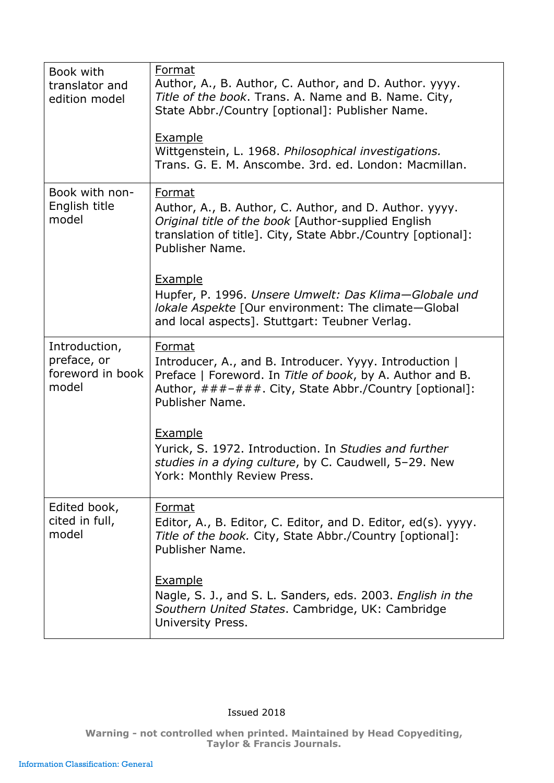| Book with<br>translator and<br>edition model              | Format<br>Author, A., B. Author, C. Author, and D. Author. yyyy.<br>Title of the book. Trans. A. Name and B. Name. City,<br>State Abbr./Country [optional]: Publisher Name.<br><b>Example</b><br>Wittgenstein, L. 1968. Philosophical investigations.<br>Trans. G. E. M. Anscombe. 3rd. ed. London: Macmillan.                                                                                 |
|-----------------------------------------------------------|------------------------------------------------------------------------------------------------------------------------------------------------------------------------------------------------------------------------------------------------------------------------------------------------------------------------------------------------------------------------------------------------|
| Book with non-<br>English title<br>model                  | Format<br>Author, A., B. Author, C. Author, and D. Author. yyyy.<br>Original title of the book [Author-supplied English<br>translation of title]. City, State Abbr./Country [optional]:<br>Publisher Name.<br><b>Example</b><br>Hupfer, P. 1996. Unsere Umwelt: Das Klima-Globale und<br>lokale Aspekte [Our environment: The climate-Global<br>and local aspects]. Stuttgart: Teubner Verlag. |
| Introduction,<br>preface, or<br>foreword in book<br>model | Format<br>Introducer, A., and B. Introducer. Yyyy. Introduction  <br>Preface   Foreword. In Title of book, by A. Author and B.<br>Author, ###-###. City, State Abbr./Country [optional]:<br>Publisher Name.<br><b>Example</b><br>Yurick, S. 1972. Introduction. In Studies and further<br>studies in a dying culture, by C. Caudwell, 5-29. New<br>York: Monthly Review Press                  |
| Edited book,<br>cited in full,<br>model                   | Format<br>Editor, A., B. Editor, C. Editor, and D. Editor, ed(s). yyyy.<br>Title of the book. City, State Abbr./Country [optional]:<br>Publisher Name.<br><b>Example</b><br>Nagle, S. J., and S. L. Sanders, eds. 2003. English in the<br>Southern United States. Cambridge, UK: Cambridge<br>University Press.                                                                                |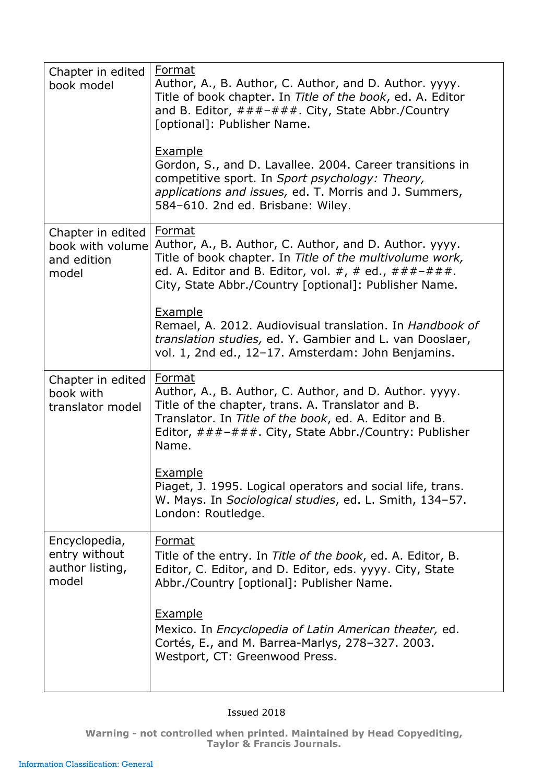| Chapter in edited<br>book model                               | Format<br>Author, A., B. Author, C. Author, and D. Author. yyyy.<br>Title of book chapter. In Title of the book, ed. A. Editor<br>and B. Editor, ###-###. City, State Abbr./Country<br>[optional]: Publisher Name.<br><b>Example</b><br>Gordon, S., and D. Lavallee. 2004. Career transitions in<br>competitive sport. In Sport psychology: Theory, |
|---------------------------------------------------------------|-----------------------------------------------------------------------------------------------------------------------------------------------------------------------------------------------------------------------------------------------------------------------------------------------------------------------------------------------------|
|                                                               | <i>applications and issues, ed. T. Morris and J. Summers,</i><br>584-610. 2nd ed. Brisbane: Wiley.                                                                                                                                                                                                                                                  |
| Chapter in edited<br>book with volume<br>and edition<br>model | Format<br>Author, A., B. Author, C. Author, and D. Author. yyyy.<br>Title of book chapter. In Title of the multivolume work,<br>ed. A. Editor and B. Editor, vol. #, # ed., $\# \# \# - \# \# \#$ .<br>City, State Abbr./Country [optional]: Publisher Name.                                                                                        |
|                                                               | <b>Example</b><br>Remael, A. 2012. Audiovisual translation. In Handbook of<br>translation studies, ed. Y. Gambier and L. van Dooslaer,<br>vol. 1, 2nd ed., 12-17. Amsterdam: John Benjamins.                                                                                                                                                        |
| Chapter in edited<br>book with<br>translator model            | Format<br>Author, A., B. Author, C. Author, and D. Author. yyyy.<br>Title of the chapter, trans. A. Translator and B.<br>Translator. In Title of the book, ed. A. Editor and B.<br>Editor, ###-###. City, State Abbr./Country: Publisher<br>Name.                                                                                                   |
|                                                               | Example<br>Piaget, J. 1995. Logical operators and social life, trans.<br>W. Mays. In Sociological studies, ed. L. Smith, 134-57.<br>London: Routledge.                                                                                                                                                                                              |
| Encyclopedia,<br>entry without<br>author listing,<br>model    | Format<br>Title of the entry. In Title of the book, ed. A. Editor, B.<br>Editor, C. Editor, and D. Editor, eds. yyyy. City, State<br>Abbr./Country [optional]: Publisher Name.                                                                                                                                                                      |
|                                                               | <b>Example</b><br>Mexico. In <i>Encyclopedia of Latin American theater</i> , ed.<br>Cortés, E., and M. Barrea-Marlys, 278-327. 2003.<br>Westport, CT: Greenwood Press.                                                                                                                                                                              |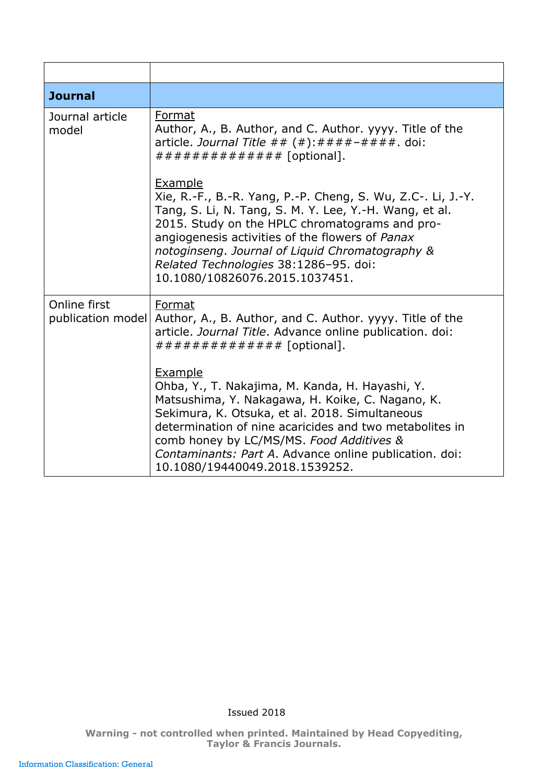<span id="page-11-0"></span>

| <b>Journal</b>                    |                                                                                                                                                                                                                                                                                                                                                                     |
|-----------------------------------|---------------------------------------------------------------------------------------------------------------------------------------------------------------------------------------------------------------------------------------------------------------------------------------------------------------------------------------------------------------------|
| Journal article<br>model          | Format<br>Author, A., B. Author, and C. Author. yyyy. Title of the<br>article. Journal Title $##$ (#): $#########$ . doi:<br>############### [optional].                                                                                                                                                                                                            |
|                                   | Example<br>Xie, R.-F., B.-R. Yang, P.-P. Cheng, S. Wu, Z.C-. Li, J.-Y.<br>Tang, S. Li, N. Tang, S. M. Y. Lee, Y.-H. Wang, et al.<br>2015. Study on the HPLC chromatograms and pro-<br>angiogenesis activities of the flowers of Panax<br>notoginseng. Journal of Liguid Chromatography &<br>Related Technologies 38:1286-95. doi:<br>10.1080/10826076.2015.1037451. |
| Online first<br>publication model | Format<br>Author, A., B. Author, and C. Author. yyyy. Title of the<br>article. Journal Title. Advance online publication. doi:<br>############### [optional].                                                                                                                                                                                                       |
|                                   | Example<br>Ohba, Y., T. Nakajima, M. Kanda, H. Hayashi, Y.<br>Matsushima, Y. Nakagawa, H. Koike, C. Nagano, K.<br>Sekimura, K. Otsuka, et al. 2018. Simultaneous<br>determination of nine acaricides and two metabolites in<br>comb honey by LC/MS/MS. Food Additives &<br>Contaminants: Part A. Advance online publication. doi:<br>10.1080/19440049.2018.1539252. |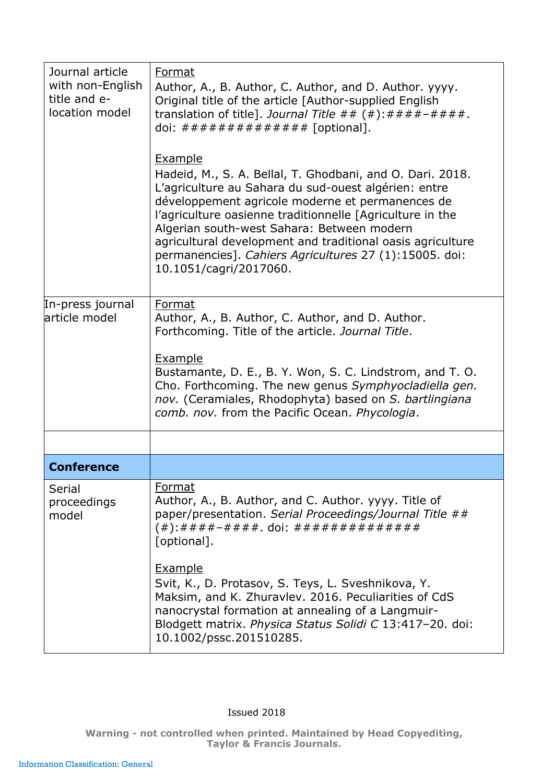<span id="page-12-0"></span>

| Journal article<br>with non-English<br>title and e-<br>location model | Format<br>Author, A., B. Author, C. Author, and D. Author. yyyy.<br>Original title of the article [Author-supplied English<br>translation of title]. Journal Title ## $( #): # # # + # # # +$ .<br>doi: $\# \# \# \# \# \# \# \# \# \# \# \# \# \$ [optional].                                                                                                                                                                                       |
|-----------------------------------------------------------------------|------------------------------------------------------------------------------------------------------------------------------------------------------------------------------------------------------------------------------------------------------------------------------------------------------------------------------------------------------------------------------------------------------------------------------------------------------|
|                                                                       | <b>Example</b><br>Hadeid, M., S. A. Bellal, T. Ghodbani, and O. Dari. 2018.<br>L'agriculture au Sahara du sud-ouest algérien: entre<br>développement agricole moderne et permanences de<br>l'agriculture oasienne traditionnelle [Agriculture in the<br>Algerian south-west Sahara: Between modern<br>agricultural development and traditional oasis agriculture<br>permanencies]. Cahiers Agricultures 27 (1):15005. doi:<br>10.1051/cagri/2017060. |
| In-press journal<br>larticle model                                    | Format<br>Author, A., B. Author, C. Author, and D. Author.<br>Forthcoming. Title of the article. Journal Title.                                                                                                                                                                                                                                                                                                                                      |
|                                                                       | <b>Example</b><br>Bustamante, D. E., B. Y. Won, S. C. Lindstrom, and T. O.<br>Cho. Forthcoming. The new genus Symphyocladiella gen.<br>nov. (Ceramiales, Rhodophyta) based on S. bartlingiana<br>comb. nov. from the Pacific Ocean. Phycologia.                                                                                                                                                                                                      |
|                                                                       |                                                                                                                                                                                                                                                                                                                                                                                                                                                      |
| <b>Conference</b>                                                     |                                                                                                                                                                                                                                                                                                                                                                                                                                                      |
| Serial<br>proceedings<br>model                                        | Format<br>Author, A., B. Author, and C. Author. yyyy. Title of<br>paper/presentation. Serial Proceedings/Journal Title ##<br>[optional].                                                                                                                                                                                                                                                                                                             |
|                                                                       | <b>Example</b><br>Svit, K., D. Protasov, S. Teys, L. Sveshnikova, Y.<br>Maksim, and K. Zhuravlev. 2016. Peculiarities of CdS<br>nanocrystal formation at annealing of a Langmuir-<br>Blodgett matrix. Physica Status Solidi C 13:417-20. doi:<br>10.1002/pssc.201510285.                                                                                                                                                                             |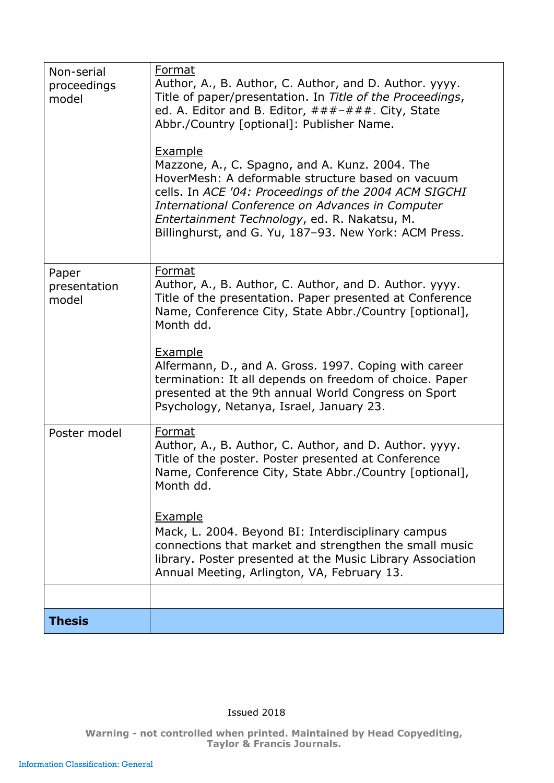<span id="page-13-0"></span>

| Non-serial<br>proceedings<br>model | Format<br>Author, A., B. Author, C. Author, and D. Author. yyyy.<br>Title of paper/presentation. In Title of the Proceedings,<br>ed. A. Editor and B. Editor, $\#H + \#H + \#H$ . City, State<br>Abbr./Country [optional]: Publisher Name.<br><b>Example</b><br>Mazzone, A., C. Spagno, and A. Kunz. 2004. The<br>HoverMesh: A deformable structure based on vacuum<br>cells. In ACE '04: Proceedings of the 2004 ACM SIGCHI<br>International Conference on Advances in Computer<br>Entertainment Technology, ed. R. Nakatsu, M.<br>Billinghurst, and G. Yu, 187-93. New York: ACM Press. |
|------------------------------------|-------------------------------------------------------------------------------------------------------------------------------------------------------------------------------------------------------------------------------------------------------------------------------------------------------------------------------------------------------------------------------------------------------------------------------------------------------------------------------------------------------------------------------------------------------------------------------------------|
| Paper<br>presentation<br>model     | Format<br>Author, A., B. Author, C. Author, and D. Author. yyyy.<br>Title of the presentation. Paper presented at Conference<br>Name, Conference City, State Abbr./Country [optional],<br>Month dd.<br><b>Example</b><br>Alfermann, D., and A. Gross. 1997. Coping with career<br>termination: It all depends on freedom of choice. Paper<br>presented at the 9th annual World Congress on Sport<br>Psychology, Netanya, Israel, January 23.                                                                                                                                              |
| Poster model                       | Format<br>Author, A., B. Author, C. Author, and D. Author. yyyy.<br>Title of the poster. Poster presented at Conference<br>Name, Conference City, State Abbr./Country [optional],<br>Month dd.<br>Example<br>Mack, L. 2004. Beyond BI: Interdisciplinary campus<br>connections that market and strengthen the small music<br>library. Poster presented at the Music Library Association<br>Annual Meeting, Arlington, VA, February 13.                                                                                                                                                    |
| <b>Thesis</b>                      |                                                                                                                                                                                                                                                                                                                                                                                                                                                                                                                                                                                           |
|                                    |                                                                                                                                                                                                                                                                                                                                                                                                                                                                                                                                                                                           |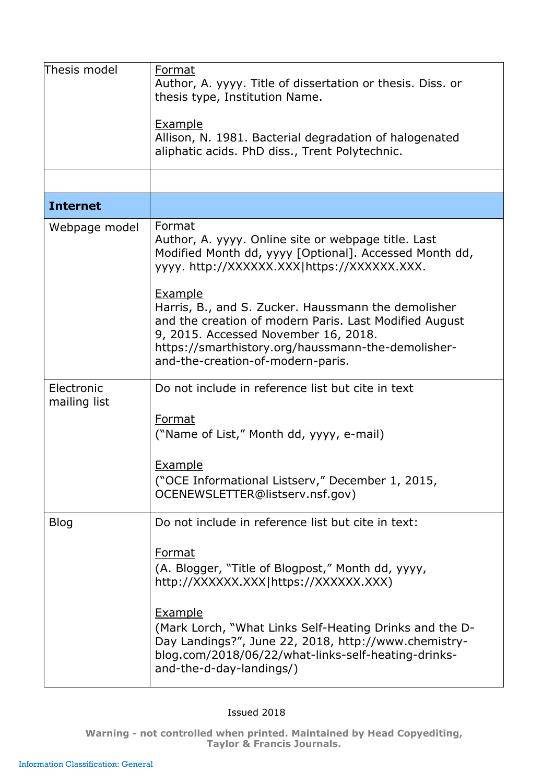<span id="page-14-0"></span>

| Thesis model               | Format<br>Author, A. yyyy. Title of dissertation or thesis. Diss. or<br>thesis type, Institution Name.<br><b>Example</b><br>Allison, N. 1981. Bacterial degradation of halogenated<br>aliphatic acids. PhD diss., Trent Polytechnic.                               |
|----------------------------|--------------------------------------------------------------------------------------------------------------------------------------------------------------------------------------------------------------------------------------------------------------------|
|                            |                                                                                                                                                                                                                                                                    |
| <b>Internet</b>            |                                                                                                                                                                                                                                                                    |
| Webpage model              | Format<br>Author, A. yyyy. Online site or webpage title. Last<br>Modified Month dd, yyyy [Optional]. Accessed Month dd,<br>yyyy. http://XXXXXX.XXX https://XXXXXX.XXX.                                                                                             |
|                            | <b>Example</b><br>Harris, B., and S. Zucker. Haussmann the demolisher<br>and the creation of modern Paris. Last Modified August<br>9, 2015. Accessed November 16, 2018.<br>https://smarthistory.org/haussmann-the-demolisher-<br>and-the-creation-of-modern-paris. |
| Electronic<br>mailing list | Do not include in reference list but cite in text                                                                                                                                                                                                                  |
|                            | Format<br>("Name of List," Month dd, yyyy, e-mail)                                                                                                                                                                                                                 |
|                            | <u>Example</u><br>("OCE Informational Listserv," December 1, 2015,<br>OCENEWSLETTER@listserv.nsf.gov)                                                                                                                                                              |
| <b>Blog</b>                | Do not include in reference list but cite in text:                                                                                                                                                                                                                 |
|                            | <b>Format</b><br>(A. Blogger, "Title of Blogpost," Month dd, yyyy,<br>http://XXXXXX.XXX https://XXXXXX.XXX)                                                                                                                                                        |
|                            | <b>Example</b><br>(Mark Lorch, "What Links Self-Heating Drinks and the D-<br>Day Landings?", June 22, 2018, http://www.chemistry-<br>blog.com/2018/06/22/what-links-self-heating-drinks-<br>and-the-d-day-landings/)                                               |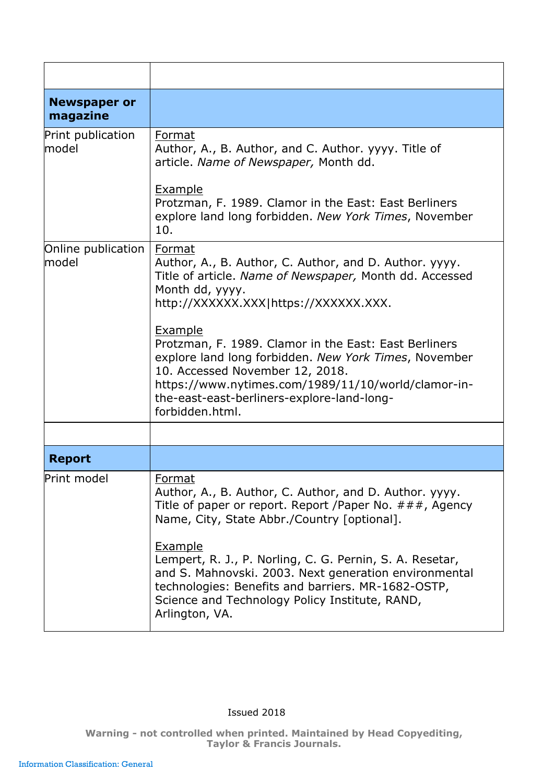<span id="page-15-1"></span><span id="page-15-0"></span>

| <b>Newspaper or</b><br>magazine    |                                                                                                                                                                                                                                                                                      |
|------------------------------------|--------------------------------------------------------------------------------------------------------------------------------------------------------------------------------------------------------------------------------------------------------------------------------------|
| Print publication<br>model         | Format<br>Author, A., B. Author, and C. Author. yyyy. Title of<br>article. Name of Newspaper, Month dd.                                                                                                                                                                              |
|                                    | <b>Example</b><br>Protzman, F. 1989. Clamor in the East: East Berliners<br>explore land long forbidden. New York Times, November<br>10.                                                                                                                                              |
| Online publication<br><b>model</b> | Format<br>Author, A., B. Author, C. Author, and D. Author. yyyy.<br>Title of article. Name of Newspaper, Month dd. Accessed<br>Month dd, yyyy.<br>http://XXXXXX.XXX https://XXXXXX.XXX.                                                                                              |
|                                    | Example<br>Protzman, F. 1989. Clamor in the East: East Berliners<br>explore land long forbidden. New York Times, November<br>10. Accessed November 12, 2018.<br>https://www.nytimes.com/1989/11/10/world/clamor-in-<br>the-east-east-berliners-explore-land-long-<br>forbidden.html. |
|                                    |                                                                                                                                                                                                                                                                                      |
| <b>Report</b>                      |                                                                                                                                                                                                                                                                                      |
| Print model                        | <b>Format</b><br>Author, A., B. Author, C. Author, and D. Author. yyyy.<br>Title of paper or report. Report / Paper No. $\# \# \#$ , Agency<br>Name, City, State Abbr./Country [optional].                                                                                           |
|                                    | <b>Example</b><br>Lempert, R. J., P. Norling, C. G. Pernin, S. A. Resetar,<br>and S. Mahnovski. 2003. Next generation environmental<br>technologies: Benefits and barriers. MR-1682-OSTP,<br>Science and Technology Policy Institute, RAND,<br>Arlington, VA.                        |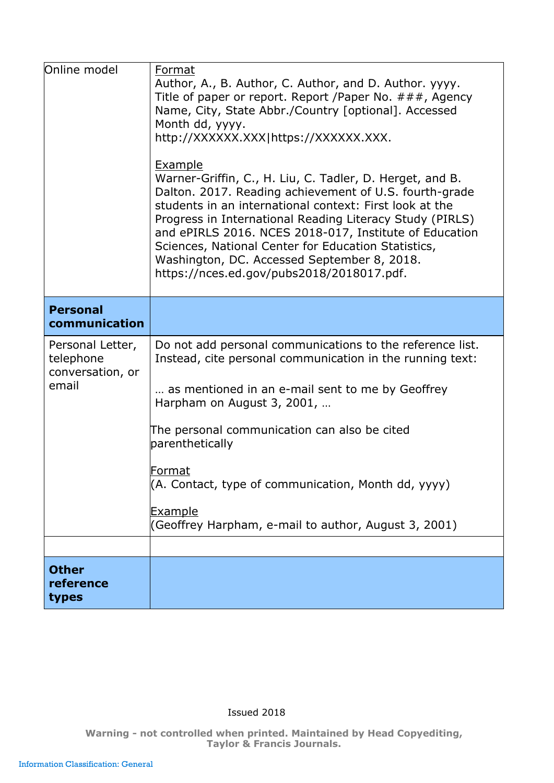<span id="page-16-1"></span><span id="page-16-0"></span>

| Online model                                               | Format<br>Author, A., B. Author, C. Author, and D. Author. yyyy.<br>Title of paper or report. Report / Paper No. $\# \# \#$ , Agency<br>Name, City, State Abbr./Country [optional]. Accessed<br>Month dd, yyyy.<br>http://XXXXXX.XXX https://XXXXXX.XXX.<br>Example<br>Warner-Griffin, C., H. Liu, C. Tadler, D. Herget, and B.<br>Dalton. 2017. Reading achievement of U.S. fourth-grade<br>students in an international context: First look at the<br>Progress in International Reading Literacy Study (PIRLS)<br>and ePIRLS 2016. NCES 2018-017, Institute of Education<br>Sciences, National Center for Education Statistics,<br>Washington, DC. Accessed September 8, 2018.<br>https://nces.ed.gov/pubs2018/2018017.pdf. |
|------------------------------------------------------------|-------------------------------------------------------------------------------------------------------------------------------------------------------------------------------------------------------------------------------------------------------------------------------------------------------------------------------------------------------------------------------------------------------------------------------------------------------------------------------------------------------------------------------------------------------------------------------------------------------------------------------------------------------------------------------------------------------------------------------|
| <b>Personal</b><br>communication                           |                                                                                                                                                                                                                                                                                                                                                                                                                                                                                                                                                                                                                                                                                                                               |
| Personal Letter,<br>telephone<br>conversation, or<br>email | Do not add personal communications to the reference list.<br>Instead, cite personal communication in the running text:<br>as mentioned in an e-mail sent to me by Geoffrey<br>Harpham on August 3, 2001,<br>The personal communication can also be cited<br>parenthetically<br>Format<br>(A. Contact, type of communication, Month dd, yyyy)<br>Example<br>(Geoffrey Harpham, e-mail to author, August 3, 2001)                                                                                                                                                                                                                                                                                                               |
|                                                            |                                                                                                                                                                                                                                                                                                                                                                                                                                                                                                                                                                                                                                                                                                                               |
| <b>Other</b><br>reference<br>types                         |                                                                                                                                                                                                                                                                                                                                                                                                                                                                                                                                                                                                                                                                                                                               |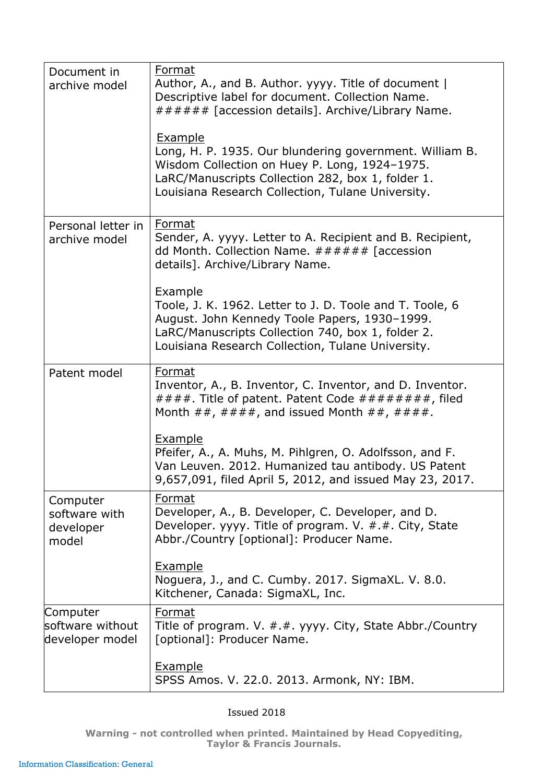| Document in<br>archive model                    | Format<br>Author, A., and B. Author. yyyy. Title of document  <br>Descriptive label for document. Collection Name.<br>###### [accession details]. Archive/Library Name.<br><b>Example</b><br>Long, H. P. 1935. Our blundering government. William B.<br>Wisdom Collection on Huey P. Long, 1924-1975.<br>LaRC/Manuscripts Collection 282, box 1, folder 1.<br>Louisiana Research Collection, Tulane University. |
|-------------------------------------------------|-----------------------------------------------------------------------------------------------------------------------------------------------------------------------------------------------------------------------------------------------------------------------------------------------------------------------------------------------------------------------------------------------------------------|
| Personal letter in<br>archive model             | <b>Format</b><br>Sender, A. yyyy. Letter to A. Recipient and B. Recipient,<br>dd Month. Collection Name. $\# \# \# \# \#$ [accession<br>details]. Archive/Library Name.<br>Example<br>Toole, J. K. 1962. Letter to J. D. Toole and T. Toole, 6<br>August. John Kennedy Toole Papers, 1930-1999.<br>LaRC/Manuscripts Collection 740, box 1, folder 2.<br>Louisiana Research Collection, Tulane University.       |
| Patent model                                    | Format<br>Inventor, A., B. Inventor, C. Inventor, and D. Inventor.<br>####. Title of patent. Patent Code #########, filed<br>Month $\##$ , $\# \# \#$ , and issued Month $\##$ , $\# \# \#$ .<br><b>Example</b><br>Pfeifer, A., A. Muhs, M. Pihlgren, O. Adolfsson, and F.<br>Van Leuven. 2012. Humanized tau antibody. US Patent<br>9,657,091, filed April 5, 2012, and issued May 23, 2017.                   |
| Computer<br>software with<br>developer<br>model | Format<br>Developer, A., B. Developer, C. Developer, and D.<br>Developer. yyyy. Title of program. V. #.#. City, State<br>Abbr./Country [optional]: Producer Name.<br><b>Example</b><br>Noguera, J., and C. Cumby. 2017. SigmaXL. V. 8.0.<br>Kitchener, Canada: SigmaXL, Inc.                                                                                                                                    |
| Computer<br>software without<br>developer model | Format<br>Title of program. V. $\#.\#$ . yyyy. City, State Abbr./Country<br>[optional]: Producer Name.<br><b>Example</b><br>SPSS Amos. V. 22.0. 2013. Armonk, NY: IBM.                                                                                                                                                                                                                                          |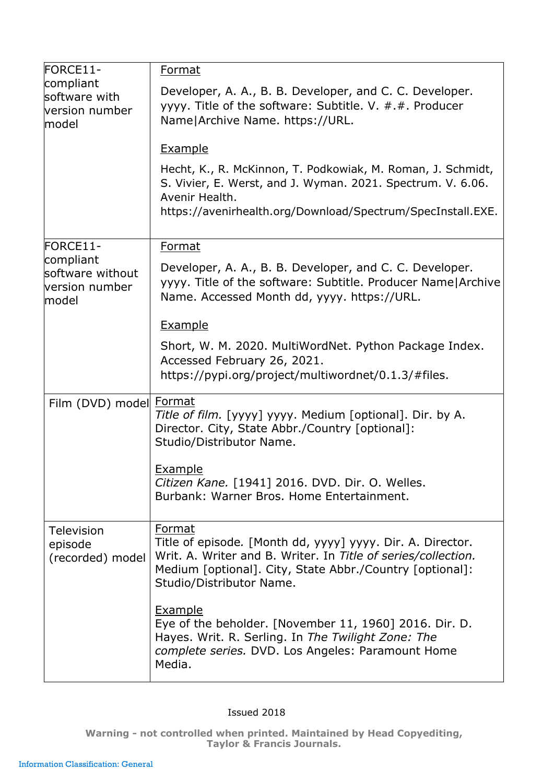| FORCE11-<br>compliant<br>software with<br>lversion number<br>model | Format                                                                                                                                                                                                                        |
|--------------------------------------------------------------------|-------------------------------------------------------------------------------------------------------------------------------------------------------------------------------------------------------------------------------|
|                                                                    | Developer, A. A., B. B. Developer, and C. C. Developer.<br>yyyy. Title of the software: Subtitle. V. #.#. Producer<br>Name Archive Name. https://URL.                                                                         |
|                                                                    | <b>Example</b>                                                                                                                                                                                                                |
|                                                                    | Hecht, K., R. McKinnon, T. Podkowiak, M. Roman, J. Schmidt,<br>S. Vivier, E. Werst, and J. Wyman. 2021. Spectrum. V. 6.06.<br>Avenir Health.<br>https://avenirhealth.org/Download/Spectrum/SpecInstall.EXE.                   |
| FORCE11-                                                           | Format                                                                                                                                                                                                                        |
| compliant<br>software without<br>version number<br>model           | Developer, A. A., B. B. Developer, and C. C. Developer.<br>yyyy. Title of the software: Subtitle. Producer Name   Archive<br>Name. Accessed Month dd, yyyy. https://URL.                                                      |
|                                                                    | <b>Example</b>                                                                                                                                                                                                                |
|                                                                    | Short, W. M. 2020. MultiWordNet. Python Package Index.<br>Accessed February 26, 2021.<br>https://pypi.org/project/multiwordnet/0.1.3/#files.                                                                                  |
| Film (DVD) model Format                                            | Title of film. [yyyy] yyyy. Medium [optional]. Dir. by A.<br>Director. City, State Abbr./Country [optional]:<br>Studio/Distributor Name.                                                                                      |
|                                                                    | Example<br>Citizen Kane. [1941] 2016. DVD. Dir. O. Welles.<br>Burbank: Warner Bros, Home Entertainment.                                                                                                                       |
| <b>Television</b><br>episode<br>(recorded) model                   | Format<br>Title of episode. [Month dd, yyyy] yyyy. Dir. A. Director.<br>Writ. A. Writer and B. Writer. In Title of series/collection.<br>Medium [optional]. City, State Abbr./Country [optional]:<br>Studio/Distributor Name. |
|                                                                    | Example<br>Eye of the beholder. [November 11, 1960] 2016. Dir. D.<br>Hayes. Writ. R. Serling. In The Twilight Zone: The<br>complete series. DVD. Los Angeles: Paramount Home<br>Media.                                        |